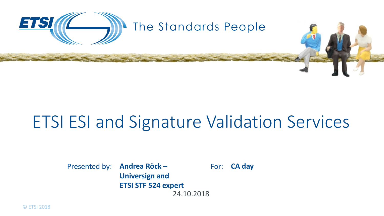

# ETSI ESI and Signature Validation Services

Presented by: **Andrea Röck –** For: 24.10.2018 **Universign and ETSI STF 524 expert**

**CA day**

© ETSI 2018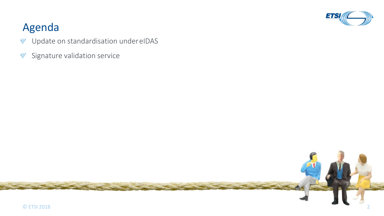

## Agenda

- Update on standardisation under eIDAS  $\mathbb V$
- Signature validation service $\mathbb V$

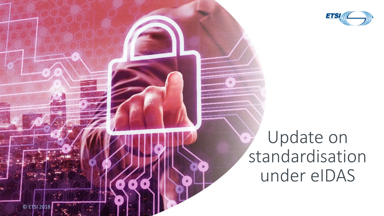

## Update on  $\bullet$ standardisation under eIDAS

© ETSI 2018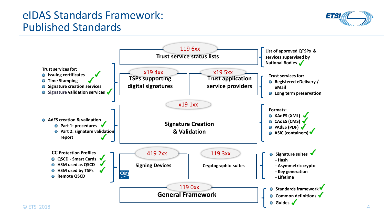## eIDAS Standards Framework: Published Standards



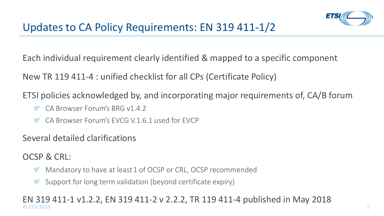Each individual requirement clearly identified & mapped to a specific component

New TR 119 411-4 : unified checklist for all CPs (Certificate Policy)

ETSI policies acknowledged by, and incorporating major requirements of, CA/B forum

- CA Browser Forum's BRG v1.4.2
- CA Browser Forum's EVCG V.1.6.1 used for EVCP

### Several detailed clarifications

OCSP & CRL:

- Mandatory to have at least 1 of OCSP or CRL, OCSP recommended  $\mathbb V$
- $\mathbb{V}$ Support for long term validation (beyond certificate expiry)

#### $\degree$  ETSI 2018 EN 319 411-1 v1.2.2, EN 319 411-2 v 2.2.2, TR 119 411-4 published in May 2018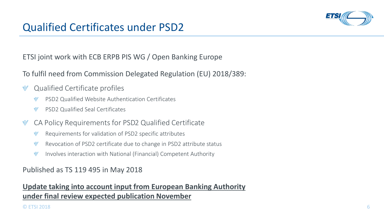

## Qualified Certificates under PSD2

ETSI joint work with ECB ERPB PIS WG / Open Banking Europe

To fulfil need from Commission Delegated Regulation (EU) 2018/389:

- Qualified Certificate profiles  $\mathbb V$ 
	- PSD2 Qualified Website Authentication Certificates  $\mathbb{V}$
	- PSD2 Qualified Seal Certificates  $\mathbb{V}$
- CA Policy Requirements for PSD2 Qualified Certificate  $\mathbb V$ 
	- Requirements for validation of PSD2 specific attributes  $\mathbb V$
	- Revocation of PSD2 certificate due to change in PSD2 attribute status  $\mathbb V$
	- Involves interaction with National (Financial) Competent Authority  $\mathbb{V}$

Published as TS 119 495 in May 2018

#### **Update taking into account input from European Banking Authority under final review expected publication November**

#### $\degree$  ETSI 2018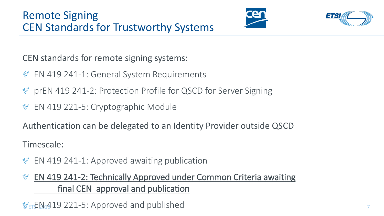



CEN standards for remote signing systems:

- EN 419 241-1: General System Requirements  $\mathbb V$
- prEN 419 241-2: Protection Profile for QSCD for Server Signing
- EN 419 221-5: Cryptographic Module

Authentication can be delegated to an Identity Provider outside QSCD

Timescale:

- EN 419 241-1: Approved awaiting publication  $\mathbb V$
- EN 419 241-2: Technically Approved under Common Criteria awaiting  $\mathbb{V}$ final CEN approval and publication

© ETSI 2018 7 EN 419 221-5: Approved and published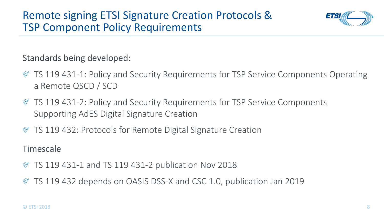

Standards being developed:

- TS 119 431-1: Policy and Security Requirements for TSP Service Components Operating a Remote QSCD / SCD
- TS 119 431-2: Policy and Security Requirements for TSP Service Components Supporting AdES Digital Signature Creation
- TS 119 432: Protocols for Remote Digital Signature Creation

Timescale

- $\%$  TS 119 431-1 and TS 119 431-2 publication Nov 2018
- TS 119 432 depends on OASIS DSS-X and CSC 1.0, publication Jan 2019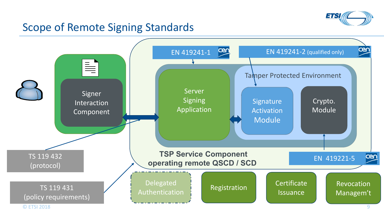

## Scope of Remote Signing Standards

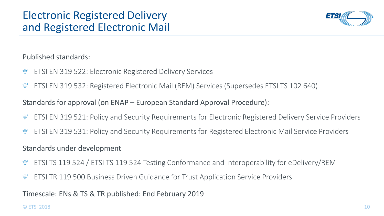

Published standards:

- ETSI EN 319 522: Electronic Registered Delivery Services  $\mathbb V$
- ETSI EN 319 532: Registered Electronic Mail (REM) Services (Supersedes ETSI TS 102 640)  $\mathbb V$

Standards for approval (on ENAP – European Standard Approval Procedure):

- ETSI EN 319 521: Policy and Security Requirements for Electronic Registered Delivery Service Providers  $\mathbb V$
- ETSI EN 319 531: Policy and Security Requirements for Registered Electronic Mail Service Providers  $\mathbb V$

Standards under development

- ETSI TS 119 524 / ETSI TS 119 524 Testing Conformance and Interoperability for eDelivery/REM  $\mathbb V$
- ETSI TR 119 500 Business Driven Guidance for Trust Application Service Providers  $\mathbb V$

Timescale: ENs & TS & TR published: End February 2019

#### © ETSI 2018 10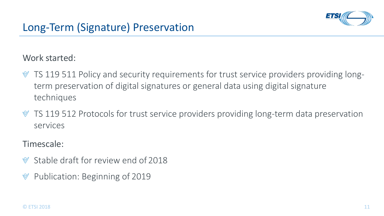

### Work started:

- $\mathcal Y$  TS 119 511 Policy and security requirements for trust service providers providing longterm preservation of digital signatures or general data using digital signature techniques
- TS 119 512 Protocols for trust service providers providing long-term data preservation services

#### Timescale:

- Stable draft for review end of 2018
- Publication: Beginning of 2019 $\mathbb V$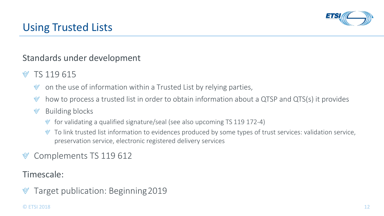

## Using Trusted Lists

### Standards under development

- TS 119 615
	- on the use of information within a Trusted List by relying parties,  $\mathbb{V}$
	- how to process a trusted list in order to obtain information about a QTSP and QTS(s) it provides  $\mathbb{V}$

#### $\mathbb V$ Building blocks

- for validating a qualified signature/seal (see also upcoming TS 119 172-4)
- To link trusted list information to evidences produced by some types of trust services: validation service, preservation service, electronic registered delivery services

## Complements TS 119 612

Timescale:

Target publication: Beginning 2019 $\mathbb V$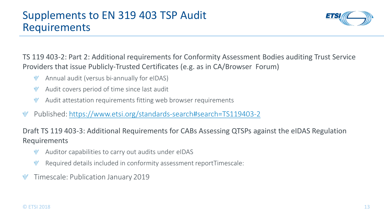

TS 119 403-2: Part 2: Additional requirements for Conformity Assessment Bodies auditing Trust Service Providers that issue Publicly-Trusted Certificates (e.g. as in CA/Browser Forum)

- Annual audit (versus bi-annually for eIDAS)  $\mathbb{V}$
- Audit covers period of time since last audit  $\mathbb{V}$
- Audit attestation requirements fitting web browser requirements  $\mathbb V$
- $\mathbb V$ Published:<https://www.etsi.org/standards-search#search=TS119403-2>

Draft TS 119 403-3: Additional Requirements for CABs Assessing QTSPs against the eIDAS Regulation Requirements

- Auditor capabilities to carry out audits under eIDAS
- $\mathbb{V}$ Required details included in conformity assessment reportTimescale:
- $\mathbb V$ Timescale: Publication January 2019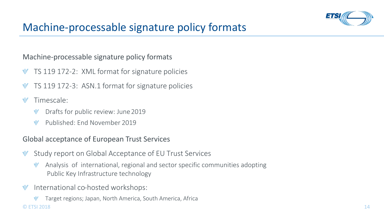

## Machine-processable signature policy formats

#### Machine-processable signature policy formats

- TS 119 172-2: XML format for signature policies  $\mathbb V$
- TS 119 172-3: ASN.1 format for signature policies  $\mathbb V$
- Timescale:
	- Drafts for public review: June 2019  $\mathbb{V}$
	- Published: End November 2019  $\mathbb{M}$

#### Global acceptance of European Trust Services

- Study report on Global Acceptance of EU Trust Services  $\mathbb V$ 
	- Analysis of international, regional and sector specific communities adopting Public Key Infrastructure technology
- International co-hosted workshops:  $\mathbb V$
- $\degree$  ETSI 2018 Target regions; Japan, North America, South America, Africa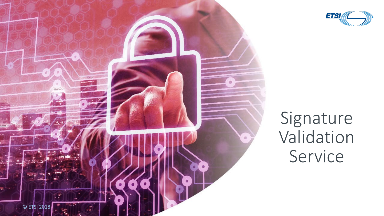



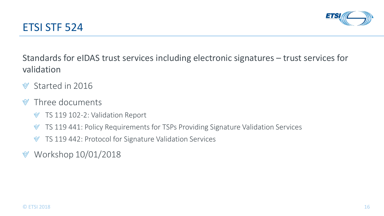



Standards for eIDAS trust services including electronic signatures – trust services for validation

- Started in 2016  $\mathbb{V}$
- Three documents  $\mathbb{V}$ 
	- TS 119 102-2: Validation Report  $\mathbb V$
	- TS 119 441: Policy Requirements for TSPs Providing Signature Validation Services  $\mathbb V$
	- TS 119 442: Protocol for Signature Validation Services  $\mathbb V$
- Workshop 10/01/2018 $\mathbb V$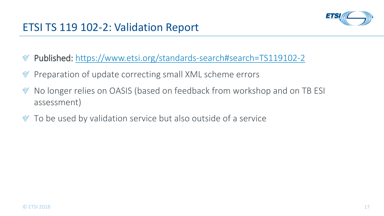

- Published: <https://www.etsi.org/standards-search#search=TS119102-2>  $\mathbb V$
- Preparation of update correcting small XML scheme errors  $\mathbb V$
- No longer relies on OASIS (based on feedback from workshop and on TB ESI  $\mathbb V$ assessment)
- $\mathcal V$  To be used by validation service but also outside of a service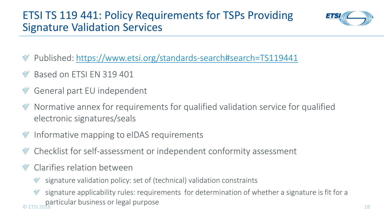

- Published:<https://www.etsi.org/standards-search#search=TS119441>  $\mathbb V$
- Based on ETSI EN 319 401
- General part EU independent  $\mathbb V$
- Normative annex for requirements for qualified validation service for qualified  $\mathbb V$ electronic signatures/seals
- Informative mapping to eIDAS requirements  $\mathbb V$
- Checklist for self-assessment or independent conformity assessment  $\mathbb V$
- Clarifies relation between
	- signature validation policy: set of (technical) validation constraints  $\mathbb V$
- $\degree$  ETSI 2018 18 signature applicability rules: requirements for determination of whether a signature is fit for a particular business or legal purpose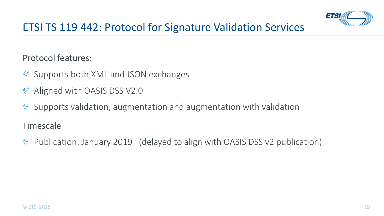

## ETSI TS 119 442: Protocol for Signature Validation Services

### Protocol features:

- Supports both XML and JSON exchanges  $\mathbb V$
- Aligned with OASIS DSS V2.0  $\mathbb V$
- Supports validation, augmentation and augmentation with validation  $\mathbb V$

### Timescale

Publication: January 2019 (delayed to align with OASIS DSS v2 publication) $\mathbb V$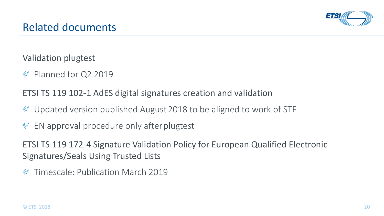

Validation plugtest

Planned for Q2 2019

ETSI TS 119 102-1 AdES digital signatures creation and validation

- Updated version published August 2018 to be aligned to work of STF  $\mathbb V$
- EN approval procedure only after plugtest  $\mathbb V$

ETSI TS 119 172-4 Signature Validation Policy for European Qualified Electronic Signatures/Seals Using Trusted Lists

Timescale: Publication March 2019